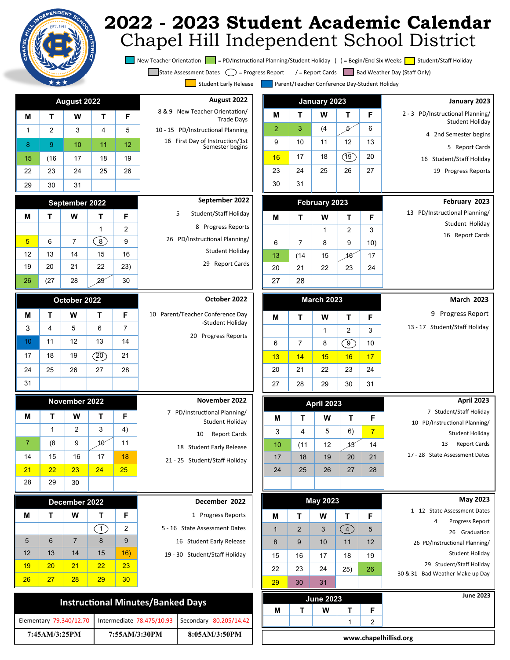## **2022 - 2023 Student Academic Calendar** Chapel Hill Independent School District

New Teacher Orientation = PD/Instructional Planning/Student Holiday () = Begin/End Six Weeks = Student/Staff Holiday

State Assessment Dates  $\bigcirc$  = Progress Report / = Report Cards Bad Weather Day (Staff Only)

Student Early Release **Parent/Teacher Conference Day-Student Holiday** 

| ort Cards   Bad Weather Day (Staf |  |  |  |
|-----------------------------------|--|--|--|
|                                   |  |  |  |

| se |  | Parent/Teacher Conferenc |
|----|--|--------------------------|
|    |  |                          |

| y Release | Parent/Tea |
|-----------|------------|

| : Early Release | P |
|-----------------|---|
|                 |   |

| Early Release | i Pare |
|---------------|--------|
|               |        |

| August 2022                                         |
|-----------------------------------------------------|
| 8 & 9 New Teacher Orientation/<br><b>Trade Days</b> |
| 10 - 15 PD/Instructional Planning                   |
| 16 First Day of Instruction/1st<br>Semester begins  |
|                                                     |
|                                                     |
|                                                     |

| September 2022                 |
|--------------------------------|
| Student/Staff Holiday<br>$5 -$ |
| 8 Progress Reports             |
| 26 PD/Instructional Planning/  |
| Student Holiday                |
| <b>Report Cards</b><br>29      |

| 22             | 23 | 24 | 25 | 26 |  |  |  |
|----------------|----|----|----|----|--|--|--|
| 29             | 30 | 31 |    |    |  |  |  |
| September 2022 |    |    |    |    |  |  |  |
| М              | т  | W  | т  | F  |  |  |  |
|                |    |    |    | 2  |  |  |  |
| 5              | 6  |    | 8  | 9  |  |  |  |
|                |    |    |    |    |  |  |  |

**August 2022**

**M T W T F** 1 2 3 4 5 8 | 9 | 10 | 11 | 12 15 (16 17 18 19

12 13 14 15 16 19 20 21 22 23)

28

|                                  | 30 | 29 | 28           | (27) | 26 |
|----------------------------------|----|----|--------------|------|----|
| October 2022                     |    |    | October 2022 |      |    |
| 10 Parent/Teacher Conference Day | F  |    | w            | т    | M  |
| -Student Holiday                 | 7  | 6  | 5            | 4    | 3  |
| 20 Progress Reports              | 14 | 13 | 12           | 11   | 10 |
|                                  | 21 | 20 | 19           | 18   | 17 |
|                                  | 28 | 27 | 26           | 25   | 24 |
|                                  |    |    |              |      | 31 |

| November 2022                                   | November 2022 |    |    |    |    |
|-------------------------------------------------|---------------|----|----|----|----|
| 7 PD/Instructional Planning/<br>Student Holiday | F             |    | W  |    | М  |
| <b>Report Cards</b><br>10                       | 4)            | 3  | 2  | 1  |    |
| 18 Student Early Release                        | 11            | 1A | 9  | (8 | 7  |
| 21 - 25 Student/Staff Holiday                   | 18            | 17 | 16 | 15 | 14 |
|                                                 | 25            | 24 | 23 | 22 | 21 |
|                                                 |               |    | 30 | 29 | 28 |

| December 2022                 | December 2022 |    |    |    |    |
|-------------------------------|---------------|----|----|----|----|
| 1 Progress Reports            | F             |    | w  |    | М  |
| 5 - 16 State Assessment Dates | 2             |    |    |    |    |
| 16 Student Early Release      | 9             | 8  |    | 6  | 5  |
| 19 - 30 Student/Staff Holiday | 16)           | 15 | 14 | 13 | 12 |
|                               | 23            | 22 | 21 | 20 | 19 |
|                               | 30            | 29 | 28 | 27 | 26 |

| <b>Instructional Minutes/Banked Days</b>                                    |               |               |  |  |  |  |  |
|-----------------------------------------------------------------------------|---------------|---------------|--|--|--|--|--|
| Intermediate 78.475/10.93 Secondary 80.205/14.42<br>Elementary 79.340/12.70 |               |               |  |  |  |  |  |
| 7:45AM/3:25PM                                                               | 7:55AM/3:30PM | 8:05AM/3:50PM |  |  |  |  |  |

|                |      | January 2023      |     |                | January 2023                                        |
|----------------|------|-------------------|-----|----------------|-----------------------------------------------------|
| Μ              | т    | W                 | т   | F              | 2 - 3 PD/Instructional Planning/<br>Student Holiday |
| $\overline{2}$ | 3    | (4)               | 57  | 6              | 4 2nd Semester begins                               |
| 9              | 10   | 11                | 12  | 13             | 5 Report Cards                                      |
| 16             | 17   | 18                | (19 | 20             | 16 Student/Staff Holiday                            |
| 23             | 24   | 25                | 26  | 27             | 19 Progress Reports                                 |
| 30             | 31   |                   |     |                |                                                     |
|                |      | February 2023     |     |                | February 2023                                       |
| М              | т    | w                 | т   | F              | 13 PD/Instructional Planning/                       |
|                |      | 1                 | 2   | 3              | Student Holiday                                     |
| 6              | 7    | 8                 | 9   | 10)            | 16<br><b>Report Cards</b>                           |
| 13             | (14) | 15                | 18  | 17             |                                                     |
| 20             | 21   | 22                | 23  | 24             |                                                     |
| 27             | 28   |                   |     |                |                                                     |
|                |      |                   |     |                |                                                     |
|                |      | <b>March 2023</b> |     |                | <b>March 2023</b>                                   |
| м              | т    | w                 | т   | F              | Progress Report<br>9                                |
|                |      | 1                 | 2   | 3              | 13 - 17 Student/Staff Holiday                       |
| 6              | 7    | 8                 | ໌9  | 10             |                                                     |
| 13             | 14   | 15                | 16  | 17             |                                                     |
| 20             | 21   | 22                | 23  | 24             |                                                     |
| 27             | 28   | 29                | 30  | 31             |                                                     |
|                |      | April 2023        |     | April 2023     |                                                     |
|                |      |                   |     |                | 7 Student/Staff Holiday                             |
| М              | т    | w                 | т   | F              | 10 PD/Instructional Planning/                       |
| 3              | 4    | 5                 | 6)  | $\overline{7}$ | Student Holiday                                     |
| 10             | (11) | 12                | 13  | 14             | <b>Report Cards</b><br>13                           |
| 17             | 18   | 19                | 20  | 21             | 17 - 28 State Assessment Dates                      |
| 24             | 25   | 26                | 27  | 28             |                                                     |
|                |      |                   |     |                |                                                     |
|                |      | <b>May 2023</b>   |     |                | <b>May 2023</b>                                     |
| M              | т    | W                 | т   | F              | 1 - 12 State Assessment Dates                       |
| $\mathbf{1}$   | 2    | 3                 | (4) | 5              | Progress Report<br>4<br>26 Graduation               |
| 8              | 9    | 10                | 11  | 12             | 26 PD/Instructional Planning/                       |
|                |      |                   |     |                |                                                     |

Student Holiday 29 Student/Staff Holiday 30 & 31 Bad Weather Make up Day

|                  |  | <b>June 2023</b> |  |   | <b>June 2023</b> |  |  |
|------------------|--|------------------|--|---|------------------|--|--|
| М                |  | W                |  | Е |                  |  |  |
|                  |  |                  |  |   |                  |  |  |
| <br>$\mathbf{r}$ |  |                  |  |   |                  |  |  |

15 | 16 | 17 | 18 | 19 22 23 24 25) 26

29 30 31

**www.chapelhillisd.org**